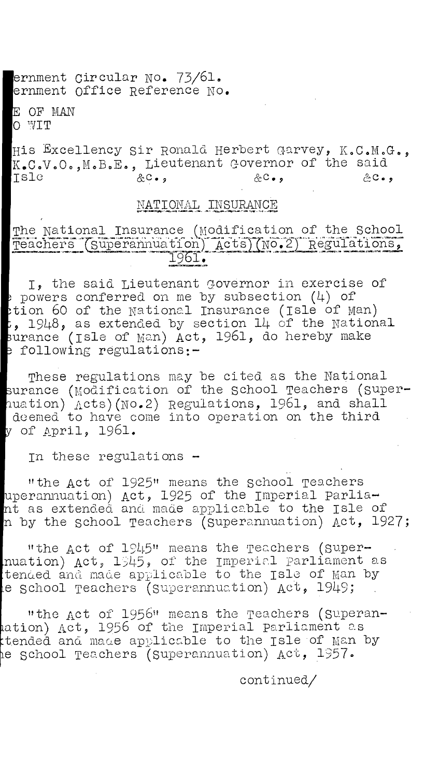ernment Circular No. 73/61. ernment Office Reference No.

OF MAN 0 WIT

His Excellency sir Ronald Herbert Garvey, K.C.M.G., K.C.V.O.,M.B.E., Lieutenant Governor of the said Isle &c.,  $\&c.,$   $\&c.,$  $2C - 1$ 

## NATIONAL INSURANCE

# The National Insurance (modification of the School Teachers (Superannuation) Acts)(No.2) Regulations,

I, the said Lieutenant Governor in exercise of powers conferred on me by subsection  $(4)$  of tion 60 of the National Insurance (Isle of Man) **,** 1948, as extended by section 14 of the National surance (Isle of Man) Act, 1961, do hereby make a following regulations:-

These regulations may be cited as the National urance (modification of the school Teachers (superuation) Acts)(No.2) Regulations, 1961, and shall deemed to have come into operation on the third y of April. 1961.

In these regulations -

"the Act of 1925" means the school Teachers uperannuation) Act, 1925 of the Imperial parliant as extended and made applicable to the Isle of n by the school Teachers (superannuation) Act, 1927;

"the Act of 1945" means the Teachers (Supernuation) Act,  $1545$ , of the Imperial parliament as tended and made applicable to the Isle of man by le school Teachers (Superannuation)  $Act, 1949;$ 

"the Act of 1956" means the Teachers (superanation) Act, 1956 of the Imperial parliament as ttended and made applicable to the Isle of Man by e school Teachers (superannuation) Act, 1957.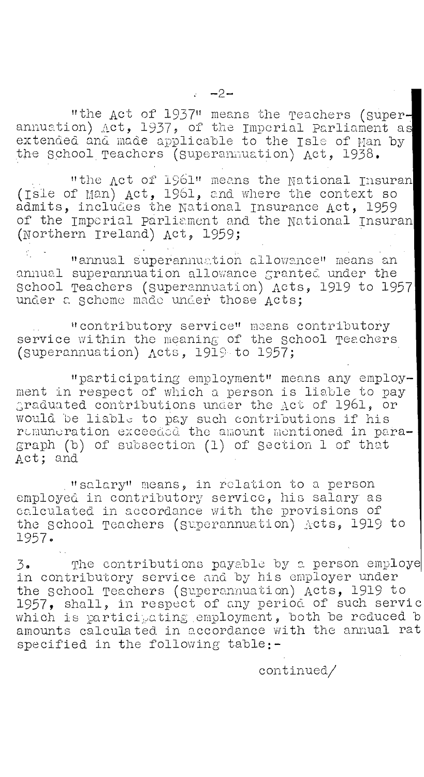"the Act of 1937" means the Teachers (Superannuation) Act, 1937, of the Imperial Parliament as extended and made applicable to the  $\texttt{lsle}$  of  $\texttt{Man}$  by  $|$ the School Teachers (superannuation) Act, 1938.

"the Act of 1961" means the National Insuran (ISie of Man) Act, 1961, and where the context so admits, includes the National Insurance Act, 1959 of the Imperial parliament and the National Insuran (Northern Ireland) Act, 1959;

"annual superannuation allowance" means an annual superannuation allowance granted under the School Teachers (superannuation) Acts, 1919 to 1957 under a scheme made under those Acts;

"contributory service" means contributory service within the meaning of the school Teachers (Superannuation) Acts, 1919 to 1957;

"participating employment" means any employment in respect of which a person is liable to pay graduated contributions under the Act of 1961, or would be liable to pay such contributions if his remuneration exceeded the amount mentioned in paragraph (b) of subsection (1) of Section 1 of that Act; and

"salary" means, in relation to a person employed in contributory service, his salary as calculated in accordance with the provisions of the school Teachers (superannuation) Acts, 1919 to 1957.

3. The contributions payable by a person employe in contributory service and by his employer under the school Teachers (Superannuation) Acts, 1919 to 1957, shall, in respect of any period of such servic which is participating employment, both be reduced b amounts calculated in accordance with the annual rat specified in the following table:-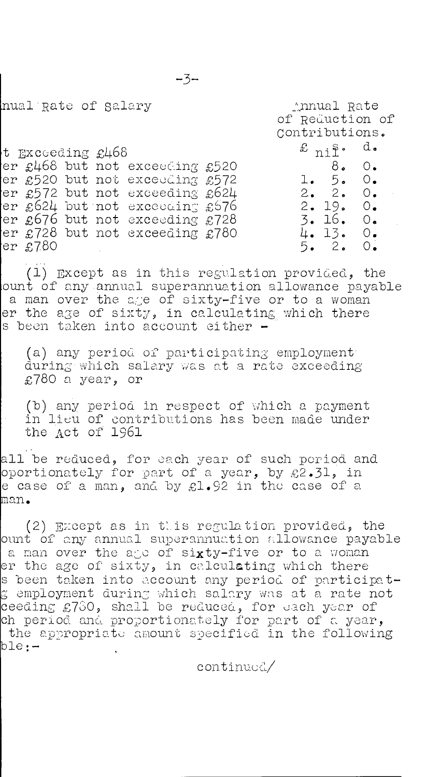.Lnnual Rate

nual Rate of salary

|  |                  |  |  |                                |                | of Reduction of                |  |  |
|--|------------------|--|--|--------------------------------|----------------|--------------------------------|--|--|
|  |                  |  |  |                                | Contributions. |                                |  |  |
|  | t Exceeding £468 |  |  |                                |                | $\pounds$ ni <sup>S</sup> . d. |  |  |
|  |                  |  |  | er £468 but not exceeding £520 |                | 8. 0.                          |  |  |
|  |                  |  |  | er £520 but not exceeding £572 |                | 1.5.0.                         |  |  |
|  |                  |  |  | er £572 but not exceeding £624 |                | 2.2.0.                         |  |  |
|  |                  |  |  | er £624 but not exceeding £676 |                | $2 \cdot 19 \cdot 0 \cdot$     |  |  |
|  |                  |  |  | er £676 but not exceeding £728 |                | 3.16.0.                        |  |  |
|  |                  |  |  | er £728 but not exceeding £780 |                | 4.13.0.                        |  |  |
|  | er £780          |  |  |                                |                | 5.2.0.                         |  |  |
|  |                  |  |  |                                |                |                                |  |  |

(1) Except as in this regulation provided, the ount of any annual superannuation allowance payable a man over the age of sixty-five or to a woman er the age of sixty, in calculating which there s been taken into account either -

(a) any period of participating employment' during which salary was at a rate exceeding £780 a year, or

(b) any period in respect of which a payment in lieu of contributions has been made under the Act of 1961

all be reduced, for each year of such period and oportionately for part of a year, by £2.31, in e case of a man, and by £1.92 in the case of a aan.

(2) Except as in this regulation provided, the ount of any annual superannuation allowance payable a man over the ago of sixty-five or to a woman er the age of sixty, in calculating which there s been taken into account any period of participate employment during which salary was at a rate not ceeding £780, shall be reduced, for each year of ch period and proportionately for part of a year, the appropriate amount specified in the following<br>ple:-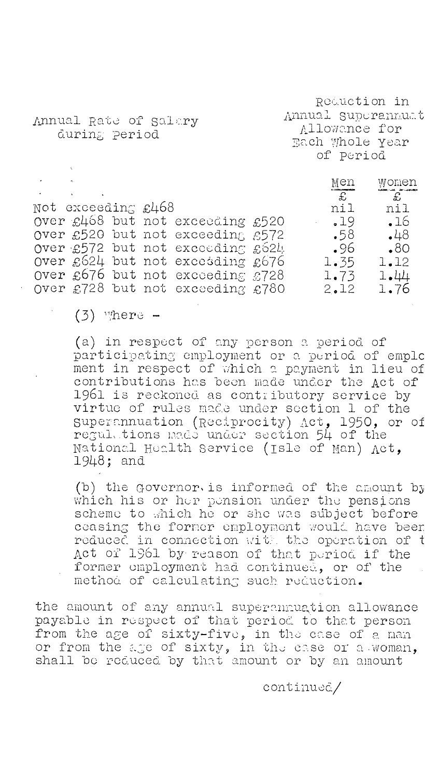Reduction in Annual supurannuat Allowance for **Each Whole Year** of period

Annual Rate of salary during period

I\ en women  $\sim$  $\overline{\mathcal{L}}$  $\mathbf{E}$ Not exceeding £468 nil nil Over  $\pounds468$  but not exceeding  $\pounds520$ Over  $£520$  but not exceeding  $£572$  .58 .48<br>Over £572 but not exceeding  $£52L$  .96 .80  $over £572$  but not exceeding  $£624$  .96 .80 Over  $E624$  but not exceeding  $E676$  1.35 1.12 Over  $£676$  but not exceeding  $£728$  1.73 1.44 Over £728 but not exceeding £780 2.12 1.76

### $(3)$  where  $-$

(a) in respect of any person a period of participating employment or a period of emplc ment in respect of which a payment in lieu of contributions has been made under the Act of 1961 is reckoned as contributory service by virtue of rules made under section 1 of the Superannuation (Reciprocity) Act, 1950, or of regui,.tions made under section 54 of the National Health Service (Isle of man) Act, 1948; and

(b) the Governor is informed of the amount by which his or her pension under the pensions scheme to which he or she was subject before ceasing the former employment would have beer reduced in connection the operation of t Act of 1961 by reason of that period if the former employment had continued, or of the method of calculating such reduction.

the amount of any annual superannuation allowance payable in respect of that period to that person from the age of sixty-five, in the case of a man or from the age of sixty, in the case or a.woman, shall be reduced by that amount or by an amount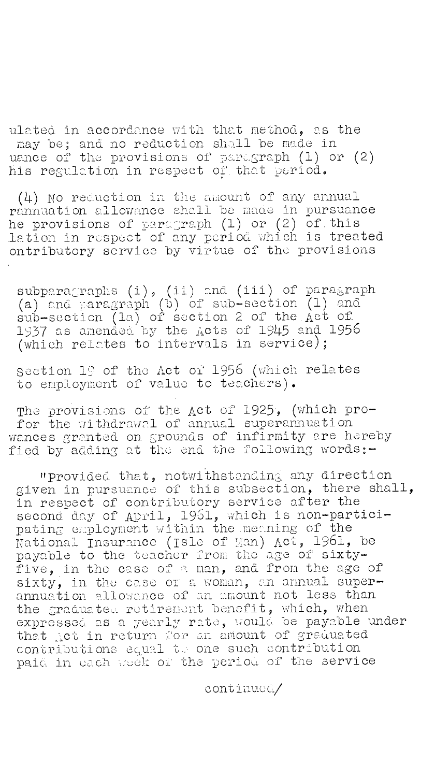ulated in accordance with that method, as the may be; and no reduction shall be made in uance of the provisions of paregraph (1) or (2) his regulation in respect of that period.

(4) No reduction in the amount of any annual rannuation allowance shall be made in pursuance he provisions of paragraph (1) or (2) of this lation in respect of any period which is treated ontributory service by virtue of the provisions

subparagraphs (i), (ii) and (iii) of paragraph (a) and paragraph (b) of sub-section  $(1)$  and sub-section (1a) of section 2 of the Act of 1937 as amended by the dots of 1945 and 1956 (which relates to intervals in service);

section 19 of the Act of 1956 (which relates to employment of value to teachers).

The provisions of the Act of 1925, (which profor the withdrawal of annual superannuation wances granted on grounds of infirmity are hereby fied by adding at the end the following words:-

'provided that, notwithstanding any direction given in pursuance of this subsection, there shall, in respect of contributory service after the second day of April, 1961, which is non-participating employment within the meaning of the  ${\tt National\ In}$ surance (Isle of Man) Act, 1961, be payable to the teacher from the age of sixtyfive, in the case of a man, and from the age of sixty, in the case or a woman, an annual superannuation allowance of an amount not less than the graduated retirement benefit, which, when expressed as a  $y$ earl $y$  rate, would be payable under that Act in return for an amount of graduated contributions edual t.: one such contribution paid in each week of the period of the service